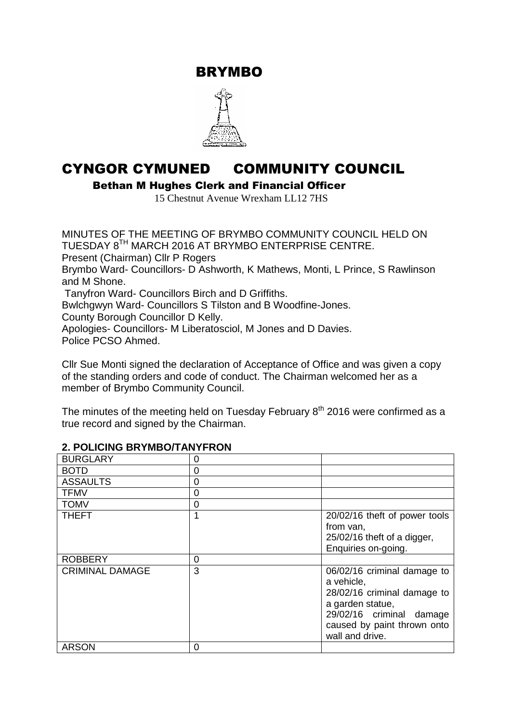BRYMBO



# CYNGOR CYMUNED COMMUNITY COUNCIL

Bethan M Hughes Clerk and Financial Officer

15 Chestnut Avenue Wrexham LL12 7HS

MINUTES OF THE MEETING OF BRYMBO COMMUNITY COUNCIL HELD ON TUESDAY 8<sup>TH</sup> MARCH 2016 AT BRYMBO ENTERPRISE CENTRE. Present (Chairman) Cllr P Rogers Brymbo Ward- Councillors- D Ashworth, K Mathews, Monti, L Prince, S Rawlinson and M Shone. Tanyfron Ward- Councillors Birch and D Griffiths. Bwlchgwyn Ward- Councillors S Tilston and B Woodfine-Jones. County Borough Councillor D Kelly. Apologies- Councillors- M Liberatosciol, M Jones and D Davies. Police PCSO Ahmed.

Cllr Sue Monti signed the declaration of Acceptance of Office and was given a copy of the standing orders and code of conduct. The Chairman welcomed her as a member of Brymbo Community Council.

The minutes of the meeting held on Tuesday February  $8<sup>th</sup>$  2016 were confirmed as a true record and signed by the Chairman.

| <b>BURGLARY</b>        | 0 |                                                                                                                                                                            |
|------------------------|---|----------------------------------------------------------------------------------------------------------------------------------------------------------------------------|
| <b>BOTD</b>            | 0 |                                                                                                                                                                            |
| <b>ASSAULTS</b>        | 0 |                                                                                                                                                                            |
| <b>TFMV</b>            | 0 |                                                                                                                                                                            |
| <b>TOMV</b>            | 0 |                                                                                                                                                                            |
| <b>THEFT</b>           |   | 20/02/16 theft of power tools<br>from van,<br>25/02/16 theft of a digger,<br>Enquiries on-going.                                                                           |
| <b>ROBBERY</b>         | 0 |                                                                                                                                                                            |
| <b>CRIMINAL DAMAGE</b> | 3 | 06/02/16 criminal damage to<br>a vehicle,<br>28/02/16 criminal damage to<br>a garden statue,<br>29/02/16 criminal damage<br>caused by paint thrown onto<br>wall and drive. |
| <b>ARSON</b>           | 0 |                                                                                                                                                                            |

#### **2. POLICING BRYMBO/TANYFRON**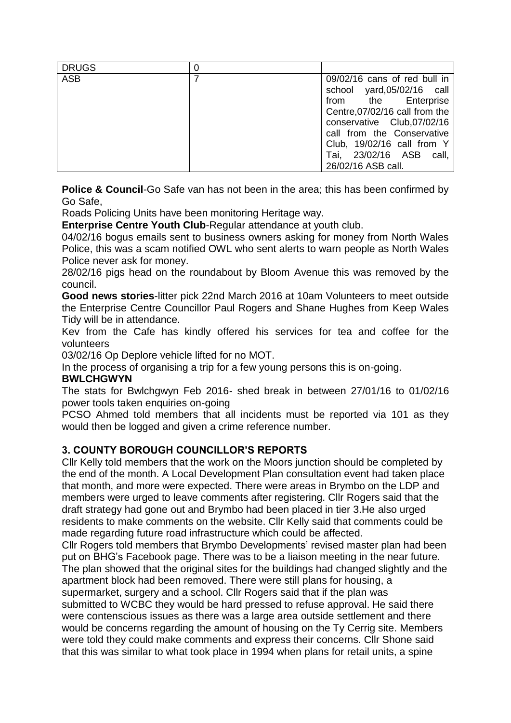| <b>DRUGS</b> |                                                                                                                                                                                                                                                                |
|--------------|----------------------------------------------------------------------------------------------------------------------------------------------------------------------------------------------------------------------------------------------------------------|
| <b>ASB</b>   | 09/02/16 cans of red bull in<br>school yard,05/02/16 call<br>from the Enterprise<br>Centre, 07/02/16 call from the<br>conservative Club, 07/02/16<br>call from the Conservative<br>Club, 19/02/16 call from Y<br>Tai, 23/02/16 ASB call,<br>26/02/16 ASB call. |

**Police & Council-**Go Safe van has not been in the area; this has been confirmed by Go Safe,

Roads Policing Units have been monitoring Heritage way.

**Enterprise Centre Youth Club**-Regular attendance at youth club.

04/02/16 bogus emails sent to business owners asking for money from North Wales Police, this was a scam notified OWL who sent alerts to warn people as North Wales Police never ask for money.

28/02/16 pigs head on the roundabout by Bloom Avenue this was removed by the council.

**Good news stories**-litter pick 22nd March 2016 at 10am Volunteers to meet outside the Enterprise Centre Councillor Paul Rogers and Shane Hughes from Keep Wales Tidy will be in attendance.

Kev from the Cafe has kindly offered his services for tea and coffee for the volunteers

03/02/16 Op Deplore vehicle lifted for no MOT.

In the process of organising a trip for a few young persons this is on-going.

#### **BWLCHGWYN**

The stats for Bwlchgwyn Feb 2016- shed break in between 27/01/16 to 01/02/16 power tools taken enquiries on-going

PCSO Ahmed told members that all incidents must be reported via 101 as they would then be logged and given a crime reference number.

#### **3. COUNTY BOROUGH COUNCILLOR'S REPORTS**

Cllr Kelly told members that the work on the Moors junction should be completed by the end of the month. A Local Development Plan consultation event had taken place that month, and more were expected. There were areas in Brymbo on the LDP and members were urged to leave comments after registering. Cllr Rogers said that the draft strategy had gone out and Brymbo had been placed in tier 3.He also urged residents to make comments on the website. Cllr Kelly said that comments could be made regarding future road infrastructure which could be affected.

Cllr Rogers told members that Brymbo Developments' revised master plan had been put on BHG's Facebook page. There was to be a liaison meeting in the near future. The plan showed that the original sites for the buildings had changed slightly and the apartment block had been removed. There were still plans for housing, a supermarket, surgery and a school. Cllr Rogers said that if the plan was submitted to WCBC they would be hard pressed to refuse approval. He said there were contenscious issues as there was a large area outside settlement and there would be concerns regarding the amount of housing on the Ty Cerrig site. Members were told they could make comments and express their concerns. Cllr Shone said that this was similar to what took place in 1994 when plans for retail units, a spine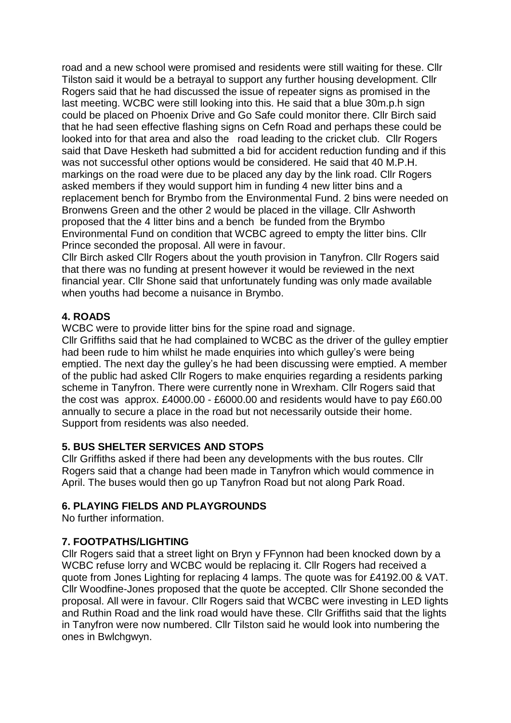road and a new school were promised and residents were still waiting for these. Cllr Tilston said it would be a betrayal to support any further housing development. Cllr Rogers said that he had discussed the issue of repeater signs as promised in the last meeting. WCBC were still looking into this. He said that a blue 30m.p.h sign could be placed on Phoenix Drive and Go Safe could monitor there. Cllr Birch said that he had seen effective flashing signs on Cefn Road and perhaps these could be looked into for that area and also the road leading to the cricket club. Cllr Rogers said that Dave Hesketh had submitted a bid for accident reduction funding and if this was not successful other options would be considered. He said that 40 M.P.H. markings on the road were due to be placed any day by the link road. Cllr Rogers asked members if they would support him in funding 4 new litter bins and a replacement bench for Brymbo from the Environmental Fund. 2 bins were needed on Bronwens Green and the other 2 would be placed in the village. Cllr Ashworth proposed that the 4 litter bins and a bench be funded from the Brymbo Environmental Fund on condition that WCBC agreed to empty the litter bins. Cllr Prince seconded the proposal. All were in favour.

Cllr Birch asked Cllr Rogers about the youth provision in Tanyfron. Cllr Rogers said that there was no funding at present however it would be reviewed in the next financial year. Cllr Shone said that unfortunately funding was only made available when youths had become a nuisance in Brymbo.

#### **4. ROADS**

WCBC were to provide litter bins for the spine road and signage.

Cllr Griffiths said that he had complained to WCBC as the driver of the gulley emptier had been rude to him whilst he made enquiries into which gulley's were being emptied. The next day the gulley's he had been discussing were emptied. A member of the public had asked Cllr Rogers to make enquiries regarding a residents parking scheme in Tanyfron. There were currently none in Wrexham. Cllr Rogers said that the cost was approx. £4000.00 - £6000.00 and residents would have to pay £60.00 annually to secure a place in the road but not necessarily outside their home. Support from residents was also needed.

## **5. BUS SHELTER SERVICES AND STOPS**

Cllr Griffiths asked if there had been any developments with the bus routes. Cllr Rogers said that a change had been made in Tanyfron which would commence in April. The buses would then go up Tanyfron Road but not along Park Road.

#### **6. PLAYING FIELDS AND PLAYGROUNDS**

No further information.

## **7. FOOTPATHS/LIGHTING**

Cllr Rogers said that a street light on Bryn y FFynnon had been knocked down by a WCBC refuse lorry and WCBC would be replacing it. Cllr Rogers had received a quote from Jones Lighting for replacing 4 lamps. The quote was for £4192.00 & VAT. Cllr Woodfine-Jones proposed that the quote be accepted. Cllr Shone seconded the proposal. All were in favour. Cllr Rogers said that WCBC were investing in LED lights and Ruthin Road and the link road would have these. Cllr Griffiths said that the lights in Tanyfron were now numbered. Cllr Tilston said he would look into numbering the ones in Bwlchgwyn.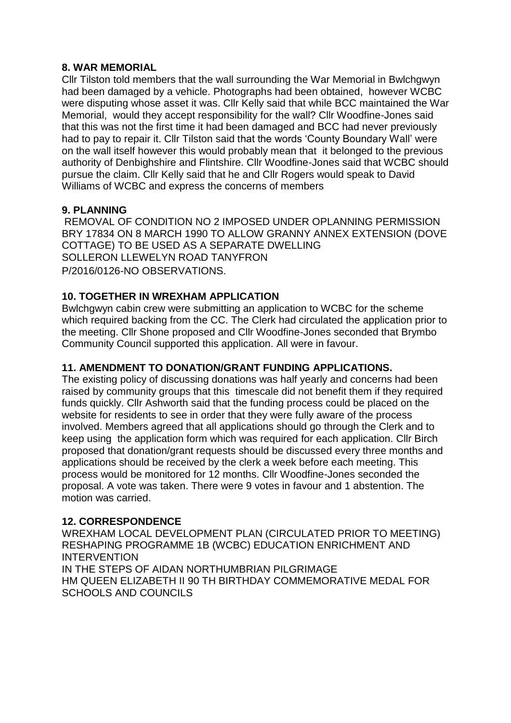#### **8. WAR MEMORIAL**

Cllr Tilston told members that the wall surrounding the War Memorial in Bwlchgwyn had been damaged by a vehicle. Photographs had been obtained, however WCBC were disputing whose asset it was. Cllr Kelly said that while BCC maintained the War Memorial, would they accept responsibility for the wall? Cllr Woodfine-Jones said that this was not the first time it had been damaged and BCC had never previously had to pay to repair it. Cllr Tilston said that the words 'County Boundary Wall' were on the wall itself however this would probably mean that it belonged to the previous authority of Denbighshire and Flintshire. Cllr Woodfine-Jones said that WCBC should pursue the claim. Cllr Kelly said that he and Cllr Rogers would speak to David Williams of WCBC and express the concerns of members

## **9. PLANNING**

REMOVAL OF CONDITION NO 2 IMPOSED UNDER OPLANNING PERMISSION BRY 17834 ON 8 MARCH 1990 TO ALLOW GRANNY ANNEX EXTENSION (DOVE COTTAGE) TO BE USED AS A SEPARATE DWELLING SOLLERON LLEWELYN ROAD TANYFRON P/2016/0126-NO OBSERVATIONS.

## **10. TOGETHER IN WREXHAM APPLICATION**

Bwlchgwyn cabin crew were submitting an application to WCBC for the scheme which required backing from the CC. The Clerk had circulated the application prior to the meeting. Cllr Shone proposed and Cllr Woodfine-Jones seconded that Brymbo Community Council supported this application. All were in favour.

## **11. AMENDMENT TO DONATION/GRANT FUNDING APPLICATIONS.**

The existing policy of discussing donations was half yearly and concerns had been raised by community groups that this timescale did not benefit them if they required funds quickly. Cllr Ashworth said that the funding process could be placed on the website for residents to see in order that they were fully aware of the process involved. Members agreed that all applications should go through the Clerk and to keep using the application form which was required for each application. Cllr Birch proposed that donation/grant requests should be discussed every three months and applications should be received by the clerk a week before each meeting. This process would be monitored for 12 months. Cllr Woodfine-Jones seconded the proposal. A vote was taken. There were 9 votes in favour and 1 abstention. The motion was carried.

## **12. CORRESPONDENCE**

WREXHAM LOCAL DEVELOPMENT PLAN (CIRCULATED PRIOR TO MEETING) RESHAPING PROGRAMME 1B (WCBC) EDUCATION ENRICHMENT AND **INTERVENTION** IN THE STEPS OF AIDAN NORTHUMBRIAN PILGRIMAGE HM QUEEN ELIZABETH II 90 TH BIRTHDAY COMMEMORATIVE MEDAL FOR SCHOOLS AND COUNCILS